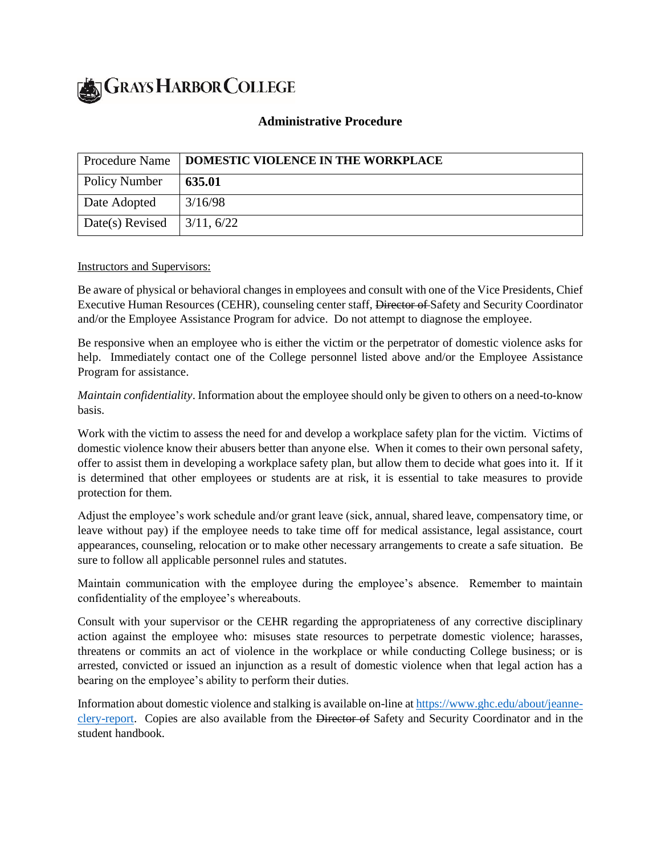**GRAYS HARBOR COLLEGE** 

## **Administrative Procedure**

| <b>Procedure Name</b>                    | DOMESTIC VIOLENCE IN THE WORKPLACE |
|------------------------------------------|------------------------------------|
| Policy Number                            | 635.01                             |
| Date Adopted                             | 3/16/98                            |
| Date(s) Revised $\vert 3/11, 6/22 \vert$ |                                    |

Instructors and Supervisors:

Be aware of physical or behavioral changes in employees and consult with one of the Vice Presidents, Chief Executive Human Resources (CEHR), counseling center staff, Director of Safety and Security Coordinator and/or the Employee Assistance Program for advice. Do not attempt to diagnose the employee.

Be responsive when an employee who is either the victim or the perpetrator of domestic violence asks for help. Immediately contact one of the College personnel listed above and/or the Employee Assistance Program for assistance.

*Maintain confidentiality*. Information about the employee should only be given to others on a need-to-know basis.

Work with the victim to assess the need for and develop a workplace safety plan for the victim. Victims of domestic violence know their abusers better than anyone else. When it comes to their own personal safety, offer to assist them in developing a workplace safety plan, but allow them to decide what goes into it. If it is determined that other employees or students are at risk, it is essential to take measures to provide protection for them.

Adjust the employee's work schedule and/or grant leave (sick, annual, shared leave, compensatory time, or leave without pay) if the employee needs to take time off for medical assistance, legal assistance, court appearances, counseling, relocation or to make other necessary arrangements to create a safe situation. Be sure to follow all applicable personnel rules and statutes.

Maintain communication with the employee during the employee's absence. Remember to maintain confidentiality of the employee's whereabouts.

Consult with your supervisor or the CEHR regarding the appropriateness of any corrective disciplinary action against the employee who: misuses state resources to perpetrate domestic violence; harasses, threatens or commits an act of violence in the workplace or while conducting College business; or is arrested, convicted or issued an injunction as a result of domestic violence when that legal action has a bearing on the employee's ability to perform their duties.

Information about domestic violence and stalking is available on-line a[t https://www.ghc.edu/about/jeanne](https://www.ghc.edu/about/jeanne-clery-report)[clery-report.](https://www.ghc.edu/about/jeanne-clery-report) Copies are also available from the Director of Safety and Security Coordinator and in the student handbook.